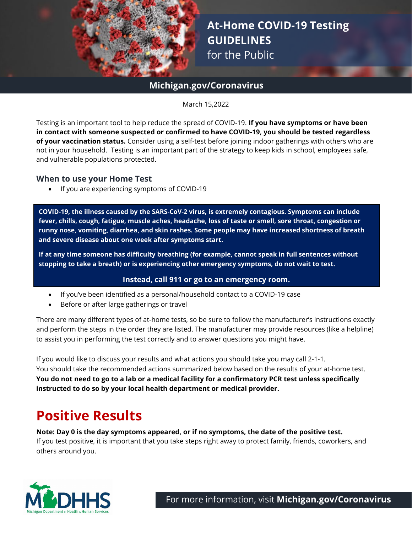

# **At-Home COVID-19 Testing GUIDELINES** for the Public

## **Michigan.gov/Coronavirus**

March 15,2022

Testing is an important tool to help reduce the spread of COVID-19. **If you have symptoms or have been in contact with someone suspected or confirmed to have COVID-19, you should be tested regardless of your vaccination status.** Consider using a self-test before joining indoor gatherings with others who are not in your household. Testing is an important part of the strategy to keep kids in school, employees safe, and vulnerable populations protected.

#### **When to use your Home Test**

• If you are experiencing symptoms of COVID-19

**COVID-19, the illness caused by the SARS-CoV-2 virus, is extremely contagious. Symptoms can include fever, chills, cough, fatigue, muscle aches, headache, loss of taste or smell, sore throat, congestion or runny nose, vomiting, diarrhea, and skin rashes. Some people may have increased shortness of breath and severe disease about one week after symptoms start.**

**If at any time someone has difficulty breathing (for example, cannot speak in full sentences without stopping to take a breath) or is experiencing other emergency symptoms, do not wait to test.** 

#### **Instead, call 911 or go to an emergency room.**

- If you've been identified as a personal/household contact to a COVID-19 case
- Before or after large gatherings or travel

There are many different types of at-home tests, so be sure to follow the manufacturer's instructions exactly and perform the steps in the order they are listed. The manufacturer may provide resources (like a helpline) to assist you in performing the test correctly and to answer questions you might have.

If you would like to discuss your results and what actions you should take you may call 2-1-1. You should take the recommended actions summarized below based on the results of your at-home test. **You do not need to go to a lab or a medical facility for a confirmatory PCR test unless specifically instructed to do so by your local health department or medical provider.** 

# **Positive Results**

**Note: Day 0 is the day symptoms appeared, or if no symptoms, the date of the positive test.**  If you test positive, it is important that you take steps right away to protect family, friends, coworkers, and others around you.



For more information, visit **[Michigan.gov/Coronavirus](http://www.michigan.gov/Coronavirus)**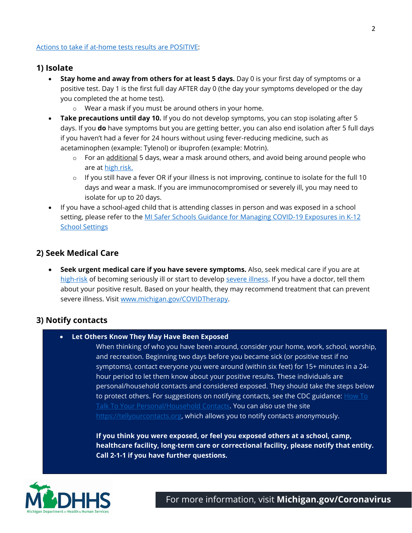#### **1) Isolate**

- **Stay home and away from others for at least 5 days.** Day 0 is your first day of symptoms or a positive test. Day 1 is the first full day AFTER day 0 (the day your symptoms developed or the day you completed the at home test).
	- o Wear a mask if you must be around others in your home.
- **Take precautions until day 10.** If you do not develop symptoms, you can stop isolating after 5 days. If you **do** have symptoms but you are getting better, you can also end isolation after 5 full days if you haven't had a fever for 24 hours without using fever-reducing medicine, such as acetaminophen (example: Tylenol) or ibuprofen (example: Motrin).
	- o For an additional 5 days, wear a mask around others, and avoid being around people who are at [high risk.](https://www.cdc.gov/coronavirus/2019-ncov/need-extra-precautions/people-with-medical-conditions.html)
	- $\circ$  If you still have a fever OR if your illness is not improving, continue to isolate for the full 10 days and wear a mask. If you are immunocompromised or severely ill, you may need to isolate for up to 20 days.
- If you have a school-aged child that is attending classes in person and was exposed in a school setting, please refer to the MI Safer Schools Guidance for Managing COVID-19 Exposures in K-12 **[School Settings](https://www.michigan.gov/documents/coronavirus/MI_Safer_Schools_Guidance_for_Managing_Students_Exposed_to_COVID-19_734750_7.pdf)**

#### **2) Seek Medical Care**

• **Seek urgent medical care if you have severe symptoms.** Also, seek medical care if you are at [high-risk](https://www.cdc.gov/coronavirus/2019-ncov/need-extra-precautions/people-with-medical-conditions.html) of becoming seriously ill or start to develop [severe illness.](https://www.cdc.gov/coronavirus/2019-ncov/if-you-are-sick/steps-when-sick.html) If you have a doctor, tell them about your positive result. Based on your health, they may recommend treatment that can prevent severe illness. Visit [www.michigan.gov/COVIDTherapy.](http://www.michigan.gov/COVIDTherapy)

#### **3) Notify contacts**

• **Let Others Know They May Have Been Exposed**

When thinking of who you have been around, consider your home, work, school, worship, and recreation. Beginning two days before you became sick (or positive test if no symptoms), contact everyone you were around (within six feet) for 15+ minutes in a 24 hour period to let them know about your positive results. These individuals are personal/household contacts and considered exposed. They should take the steps below to protect others. For suggestions on notifying contacts, see the CDC guidance:  $\frac{\text{How To}}{\text{0}}$ [Talk To Your Personal/Household Contacts.](https://stateofmichigan-my.sharepoint.com/personal/hendersont1_michigan_gov/Documents/Desktop/How%20To%20Talk%20To%20Your%20Close%20Contacts%20|%20CDC) You can also use the site [https://tellyourcontacts.org,](https://tellyourcontacts.org/) which allows you to notify contacts anonymously.

**If you think you were exposed, or feel you exposed others at a school, camp, healthcare facility, long-term care or correctional facility, please notify that entity. Call 2-1-1 if you have further questions.**



For more information, visit **[Michigan.gov/Coronavirus](http://www.michigan.gov/Coronavirus)**